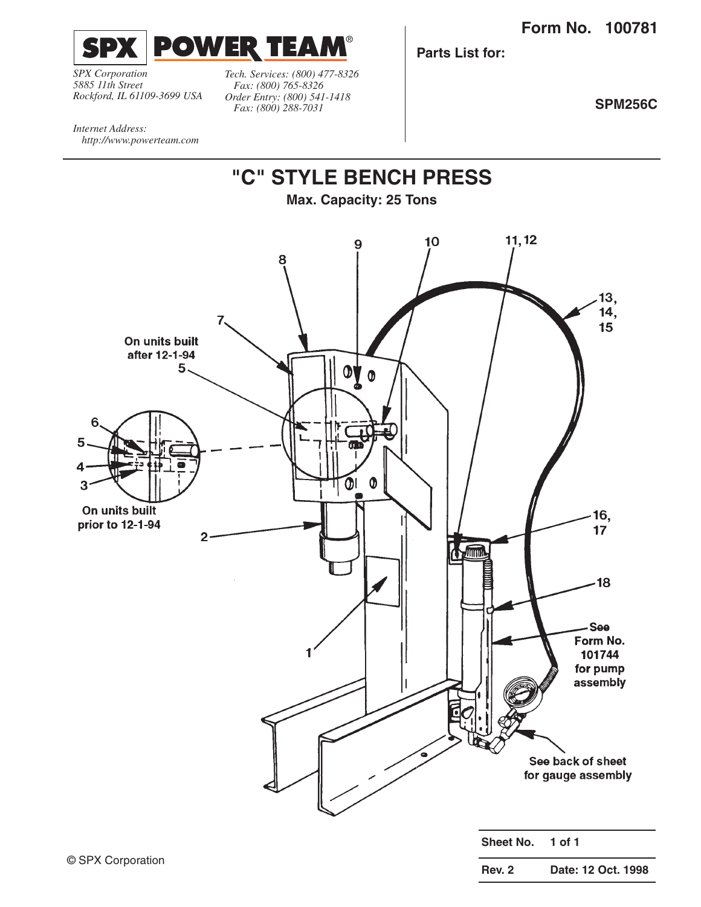**Rev. 2 Date: 12 Oct. 1998**



*SPX Corporation 5885 11th Street Rockford, IL 61109-3699 USA* *Tech. Services: (800) 477-8326 Fax: (800) 765-8326 Order Entry: (800) 541-1418 Fax: (800) 288-7031*

®

**Parts List for:**

**SPM256C**

*Internet Address: http://www.powerteam.com*